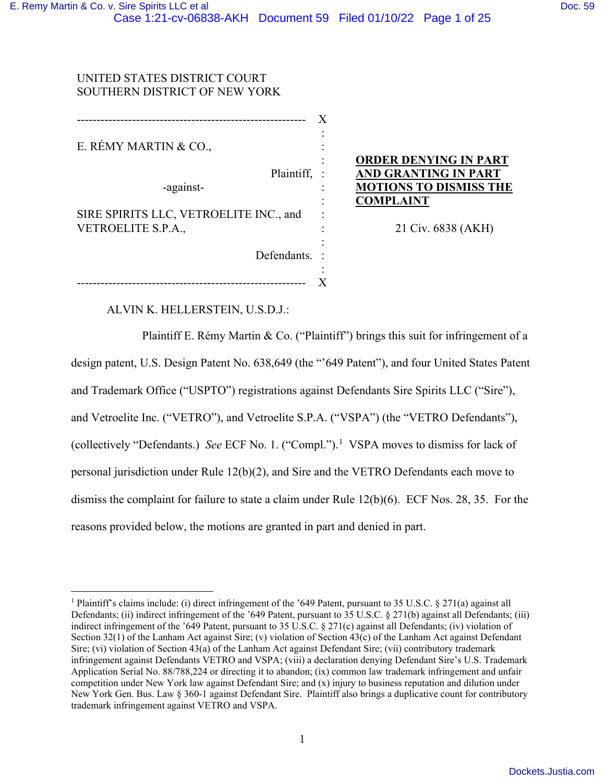---------------------------------------------------------- X

# UNITED STATES DISTRICT COURT SOUTHERN DISTRICT OF NEW YORK

E. RÉMY MARTIN & CO.,

-against-

Plaintiff, :

 : : :

 : : : : :

:

Defendants. :

SIRE SPIRITS LLC, VETROELITE INC., and VETROELITE S.P.A.,

**ORDER DENYING IN PART AND GRANTING IN PART MOTIONS TO DISMISS THE COMPLAINT**

21 Civ. 6838 (AKH)

ALVIN K. HELLERSTEIN, U.S.D.J.:

---------------------------------------------------------- X

Plaintiff E. Rémy Martin & Co. ("Plaintiff") brings this suit for infringement of a design patent, U.S. Design Patent No. 638,649 (the "'649 Patent"), and four United States Patent and Trademark Office ("USPTO") registrations against Defendants Sire Spirits LLC ("Sire"), and Vetroelite Inc. ("VETRO"), and Vetroelite S.P.A. ("VSPA") (the "VETRO Defendants"), (collectively "Defendants.) *See* ECF No. 1. ("Compl."). [1](#page-0-0) VSPA moves to dismiss for lack of personal jurisdiction under Rule 12(b)(2), and Sire and the VETRO Defendants each move to dismiss the complaint for failure to state a claim under Rule 12(b)(6). ECF Nos. 28, 35. For the reasons provided below, the motions are granted in part and denied in part.

<span id="page-0-0"></span><sup>&</sup>lt;sup>1</sup> Plaintiff's claims include: (i) direct infringement of the '649 Patent, pursuant to 35 U.S.C. § 271(a) against all Defendants; (ii) indirect infringement of the '649 Patent, pursuant to 35 U.S.C. § 271(b) against all Defendants; (iii) indirect infringement of the '649 Patent, pursuant to 35 U.S.C. § 271(c) against all Defendants; (iv) violation of Section 32(1) of the Lanham Act against Sire; (v) violation of Section 43(c) of the Lanham Act against Defendant Sire; (vi) violation of Section 43(a) of the Lanham Act against Defendant Sire; (vii) contributory trademark infringement against Defendants VETRO and VSPA; (viii) a declaration denying Defendant Sire's U.S. Trademark Application Serial No. 88/788,224 or directing it to abandon; (ix) common law trademark infringement and unfair competition under New York law against Defendant Sire; and (x) injury to business reputation and dilution under New York Gen. Bus. Law § 360-1 against Defendant Sire. Plaintiff also brings a duplicative count for contributory trademark infringement against VETRO and VSPA.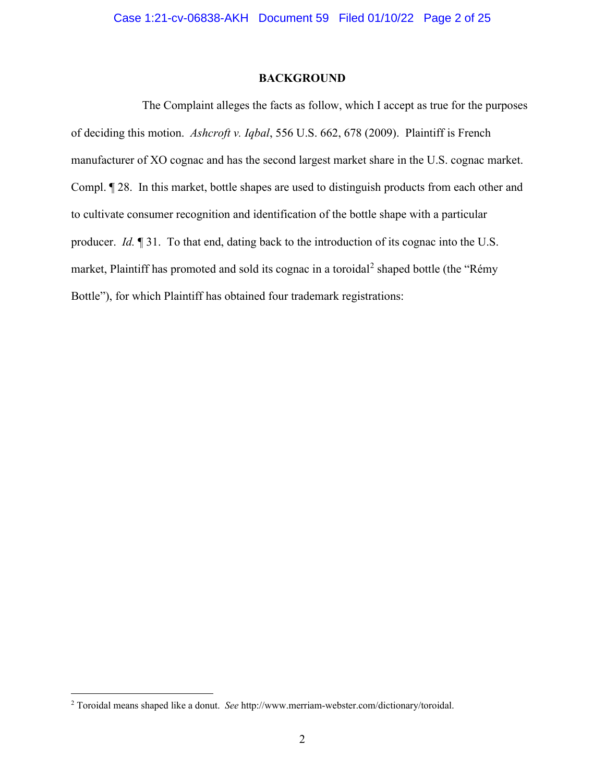#### **BACKGROUND**

 The Complaint alleges the facts as follow, which I accept as true for the purposes of deciding this motion. *Ashcroft v. Iqbal*, 556 U.S. 662, 678 (2009). Plaintiff is French manufacturer of XO cognac and has the second largest market share in the U.S. cognac market. Compl. ¶ 28. In this market, bottle shapes are used to distinguish products from each other and to cultivate consumer recognition and identification of the bottle shape with a particular producer. *Id.* ¶ 31. To that end, dating back to the introduction of its cognac into the U.S. market, Plaintiff has promoted and sold its cognac in a toroidal<sup>[2](#page-1-0)</sup> shaped bottle (the "Rémy Bottle"), for which Plaintiff has obtained four trademark registrations:

<span id="page-1-0"></span><sup>2</sup> Toroidal means shaped like a donut. *See* http://www.merriam-webster.com/dictionary/toroidal.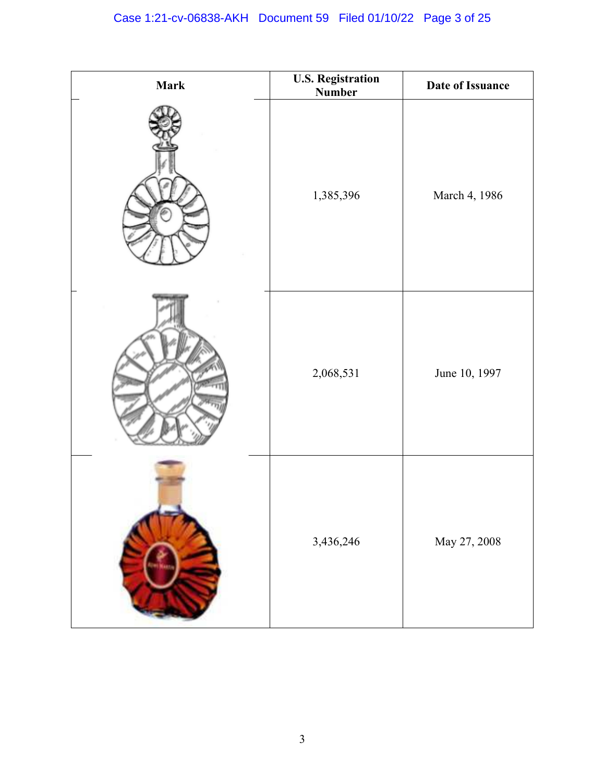| <b>Mark</b> | <b>U.S. Registration</b><br><b>Number</b> | Date of Issuance |
|-------------|-------------------------------------------|------------------|
|             | 1,385,396                                 | March 4, 1986    |
|             | 2,068,531                                 | June 10, 1997    |
|             | 3,436,246                                 | May 27, 2008     |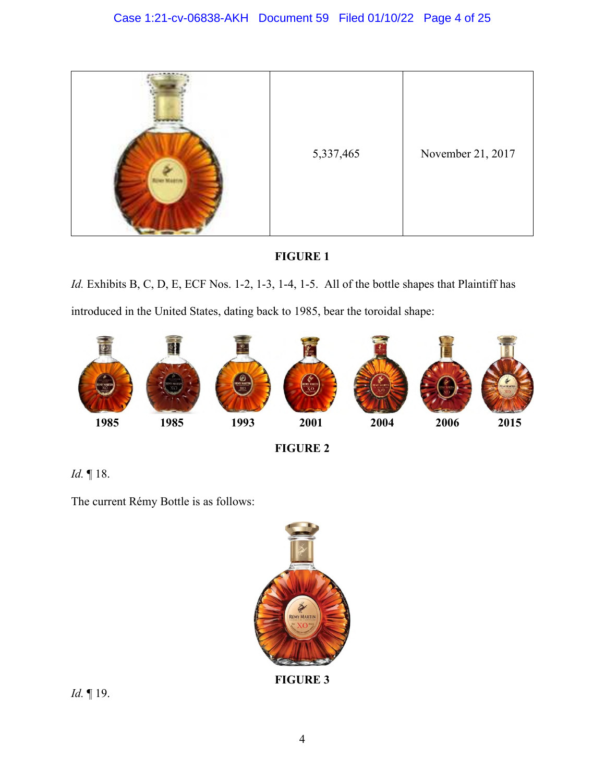

# **FIGURE 1**

*Id.* Exhibits B, C, D, E, ECF Nos. 1-2, 1-3, 1-4, 1-5. All of the bottle shapes that Plaintiff has introduced in the United States, dating back to 1985, bear the toroidal shape:



**FIGURE 2** 

*Id.* ¶ 18.

The current Rémy Bottle is as follows:



**FIGURE 3** 

*Id.* ¶ 19.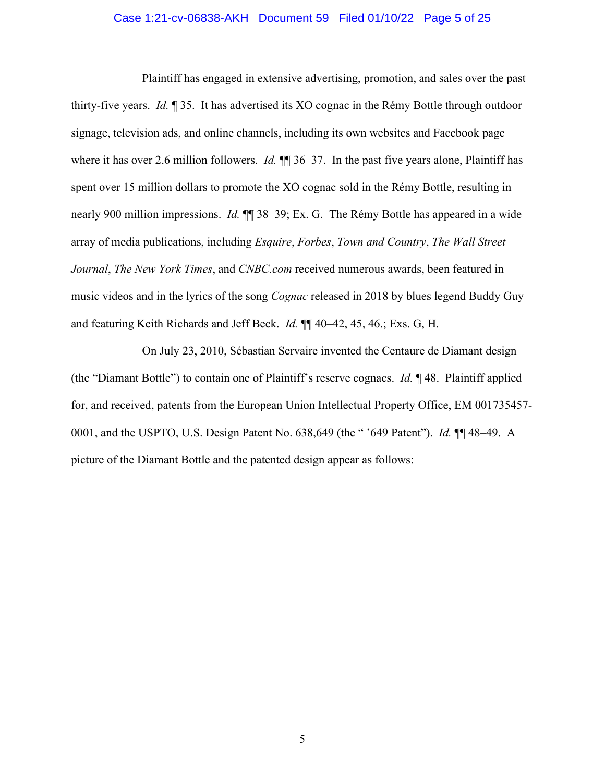## Case 1:21-cv-06838-AKH Document 59 Filed 01/10/22 Page 5 of 25

Plaintiff has engaged in extensive advertising, promotion, and sales over the past thirty-five years. *Id.* ¶ 35. It has advertised its XO cognac in the Rémy Bottle through outdoor signage, television ads, and online channels, including its own websites and Facebook page where it has over 2.6 million followers. *Id.*  $\P$  36–37. In the past five years alone, Plaintiff has spent over 15 million dollars to promote the XO cognac sold in the Rémy Bottle, resulting in nearly 900 million impressions. *Id.* ¶¶ 38–39; Ex. G. The Rémy Bottle has appeared in a wide array of media publications, including *Esquire*, *Forbes*, *Town and Country*, *The Wall Street Journal*, *The New York Times*, and *CNBC.com* received numerous awards, been featured in music videos and in the lyrics of the song *Cognac* released in 2018 by blues legend Buddy Guy and featuring Keith Richards and Jeff Beck. *Id.* ¶¶ 40–42, 45, 46.; Exs. G, H.

On July 23, 2010, Sébastian Servaire invented the Centaure de Diamant design (the "Diamant Bottle") to contain one of Plaintiff's reserve cognacs. *Id.* ¶ 48. Plaintiff applied for, and received, patents from the European Union Intellectual Property Office, EM 001735457- 0001, and the USPTO, U.S. Design Patent No. 638,649 (the " '649 Patent"). *Id.* ¶¶ 48–49. A picture of the Diamant Bottle and the patented design appear as follows: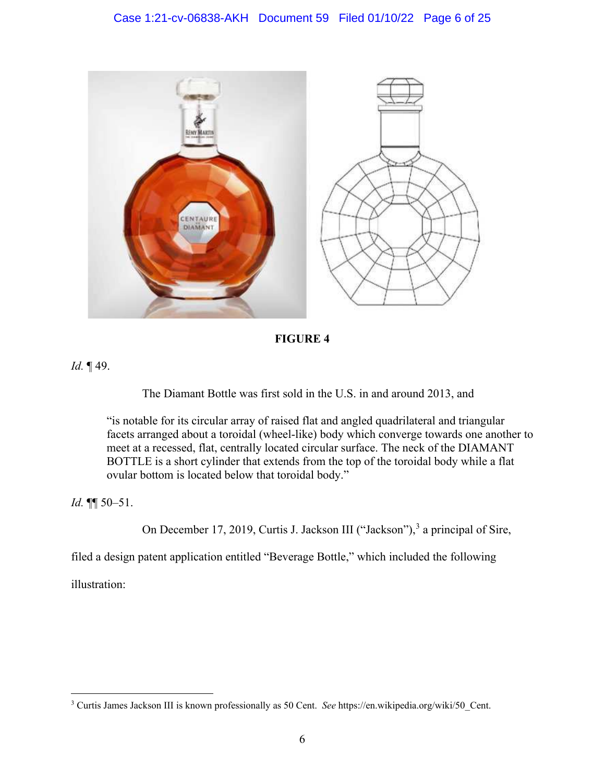# Case 1:21-cv-06838-AKH Document 59 Filed 01/10/22 Page 6 of 25



**FIGURE 4** 

*Id.* ¶ 49.

The Diamant Bottle was first sold in the U.S. in and around 2013, and

"is notable for its circular array of raised flat and angled quadrilateral and triangular facets arranged about a toroidal (wheel-like) body which converge towards one another to meet at a recessed, flat, centrally located circular surface. The neck of the DIAMANT BOTTLE is a short cylinder that extends from the top of the toroidal body while a flat ovular bottom is located below that toroidal body."

*Id.* ¶¶ 50–51.

On December 17, 2019, Curtis J. Jackson III ("Jackson"),<sup>[3](#page-5-0)</sup> a principal of Sire,

filed a design patent application entitled "Beverage Bottle," which included the following

illustration:

<span id="page-5-0"></span><sup>3</sup> Curtis James Jackson III is known professionally as 50 Cent. *See* https://en.wikipedia.org/wiki/50\_Cent.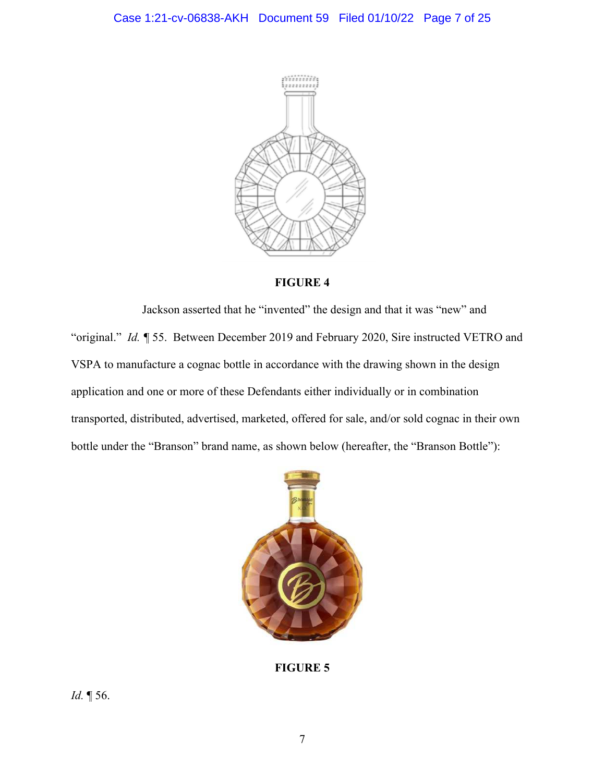

# **FIGURE 4**

Jackson asserted that he "invented" the design and that it was "new" and "original." *Id. ¶* 55. Between December 2019 and February 2020, Sire instructed VETRO and VSPA to manufacture a cognac bottle in accordance with the drawing shown in the design application and one or more of these Defendants either individually or in combination transported, distributed, advertised, marketed, offered for sale, and/or sold cognac in their own bottle under the "Branson" brand name, as shown below (hereafter, the "Branson Bottle"):



**FIGURE 5**

*Id.* ¶ 56.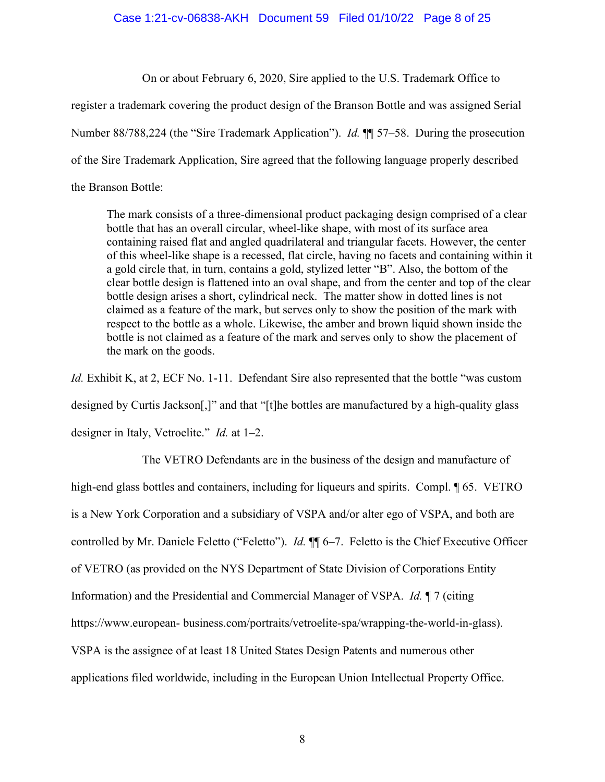## Case 1:21-cv-06838-AKH Document 59 Filed 01/10/22 Page 8 of 25

On or about February 6, 2020, Sire applied to the U.S. Trademark Office to

register a trademark covering the product design of the Branson Bottle and was assigned Serial Number 88/788,224 (the "Sire Trademark Application"). *Id.* ¶¶ 57–58. During the prosecution of the Sire Trademark Application, Sire agreed that the following language properly described the Branson Bottle:

The mark consists of a three-dimensional product packaging design comprised of a clear bottle that has an overall circular, wheel-like shape, with most of its surface area containing raised flat and angled quadrilateral and triangular facets. However, the center of this wheel-like shape is a recessed, flat circle, having no facets and containing within it a gold circle that, in turn, contains a gold, stylized letter "B". Also, the bottom of the clear bottle design is flattened into an oval shape, and from the center and top of the clear bottle design arises a short, cylindrical neck. The matter show in dotted lines is not claimed as a feature of the mark, but serves only to show the position of the mark with respect to the bottle as a whole. Likewise, the amber and brown liquid shown inside the bottle is not claimed as a feature of the mark and serves only to show the placement of the mark on the goods.

*Id.* Exhibit K, at 2, ECF No. 1-11. Defendant Sire also represented that the bottle "was custom designed by Curtis Jackson[,]" and that "[t]he bottles are manufactured by a high-quality glass designer in Italy, Vetroelite." *Id.* at 1–2.

 The VETRO Defendants are in the business of the design and manufacture of high-end glass bottles and containers, including for liqueurs and spirits. Compl. 165. VETRO is a New York Corporation and a subsidiary of VSPA and/or alter ego of VSPA, and both are controlled by Mr. Daniele Feletto ("Feletto"). *Id.* ¶¶ 6–7. Feletto is the Chief Executive Officer of VETRO (as provided on the NYS Department of State Division of Corporations Entity Information) and the Presidential and Commercial Manager of VSPA. *Id.* ¶ 7 (citing https://www.european- business.com/portraits/vetroelite-spa/wrapping-the-world-in-glass). VSPA is the assignee of at least 18 United States Design Patents and numerous other applications filed worldwide, including in the European Union Intellectual Property Office.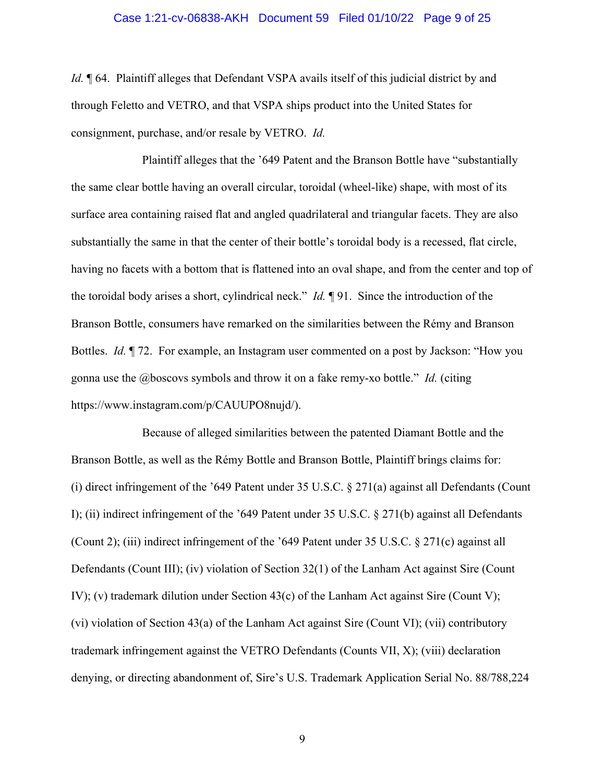#### Case 1:21-cv-06838-AKH Document 59 Filed 01/10/22 Page 9 of 25

*Id.*  $\parallel$  64. Plaintiff alleges that Defendant VSPA avails itself of this judicial district by and through Feletto and VETRO, and that VSPA ships product into the United States for consignment, purchase, and/or resale by VETRO. *Id.*

 Plaintiff alleges that the '649 Patent and the Branson Bottle have "substantially the same clear bottle having an overall circular, toroidal (wheel-like) shape, with most of its surface area containing raised flat and angled quadrilateral and triangular facets. They are also substantially the same in that the center of their bottle's toroidal body is a recessed, flat circle, having no facets with a bottom that is flattened into an oval shape, and from the center and top of the toroidal body arises a short, cylindrical neck." *Id.* ¶ 91. Since the introduction of the Branson Bottle, consumers have remarked on the similarities between the Rémy and Branson Bottles. *Id.* ¶ 72. For example, an Instagram user commented on a post by Jackson: "How you gonna use the @boscovs symbols and throw it on a fake remy-xo bottle." *Id.* (citing https://www.instagram.com/p/CAUUPO8nujd/).

 Because of alleged similarities between the patented Diamant Bottle and the Branson Bottle, as well as the Rémy Bottle and Branson Bottle, Plaintiff brings claims for: (i) direct infringement of the '649 Patent under 35 U.S.C. § 271(a) against all Defendants (Count I); (ii) indirect infringement of the '649 Patent under 35 U.S.C. § 271(b) against all Defendants (Count 2); (iii) indirect infringement of the '649 Patent under 35 U.S.C. § 271(c) against all Defendants (Count III); (iv) violation of Section 32(1) of the Lanham Act against Sire (Count IV); (v) trademark dilution under Section 43(c) of the Lanham Act against Sire (Count V); (vi) violation of Section 43(a) of the Lanham Act against Sire (Count VI); (vii) contributory trademark infringement against the VETRO Defendants (Counts VII, X); (viii) declaration denying, or directing abandonment of, Sire's U.S. Trademark Application Serial No. 88/788,224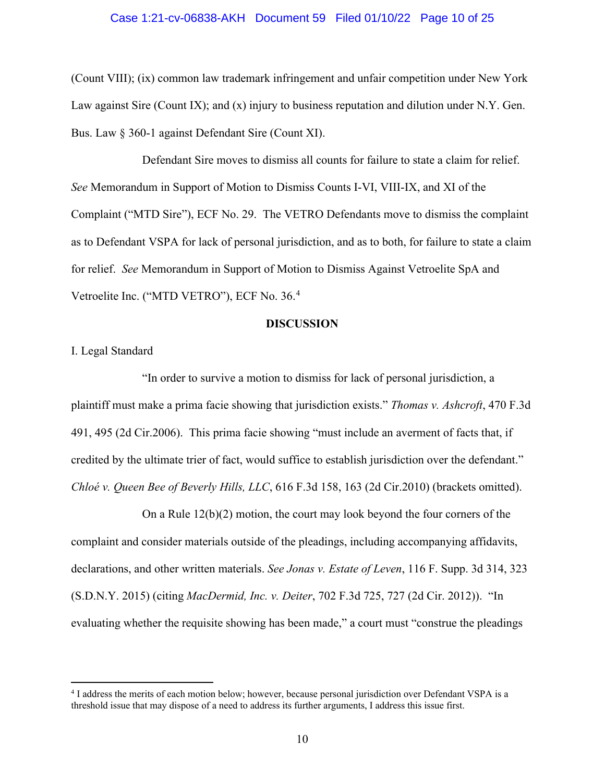#### Case 1:21-cv-06838-AKH Document 59 Filed 01/10/22 Page 10 of 25

(Count VIII); (ix) common law trademark infringement and unfair competition under New York Law against Sire (Count IX); and (x) injury to business reputation and dilution under N.Y. Gen. Bus. Law § 360-1 against Defendant Sire (Count XI).

 Defendant Sire moves to dismiss all counts for failure to state a claim for relief. *See* Memorandum in Support of Motion to Dismiss Counts I-VI, VIII-IX, and XI of the Complaint ("MTD Sire"), ECF No. 29. The VETRO Defendants move to dismiss the complaint as to Defendant VSPA for lack of personal jurisdiction, and as to both, for failure to state a claim for relief. *See* Memorandum in Support of Motion to Dismiss Against Vetroelite SpA and Vetroelite Inc. ("MTD VETRO"), ECF No. 36.[4](#page-9-0)

#### **DISCUSSION**

I. Legal Standard

"In order to survive a motion to dismiss for lack of personal jurisdiction, a plaintiff must make a prima facie showing that jurisdiction exists." *Thomas v. Ashcroft*, 470 F.3d 491, 495 (2d Cir.2006). This prima facie showing "must include an averment of facts that, if credited by the ultimate trier of fact, would suffice to establish jurisdiction over the defendant." *Chloé v. Queen Bee of Beverly Hills, LLC*, 616 F.3d 158, 163 (2d Cir.2010) (brackets omitted).

On a Rule 12(b)(2) motion, the court may look beyond the four corners of the complaint and consider materials outside of the pleadings, including accompanying affidavits, declarations, and other written materials. *See Jonas v. Estate of Leven*, 116 F. Supp. 3d 314, 323 (S.D.N.Y. 2015) (citing *MacDermid, Inc. v. Deiter*, 702 F.3d 725, 727 (2d Cir. 2012)). "In evaluating whether the requisite showing has been made," a court must "construe the pleadings

<span id="page-9-0"></span><sup>4</sup> I address the merits of each motion below; however, because personal jurisdiction over Defendant VSPA is a threshold issue that may dispose of a need to address its further arguments, I address this issue first.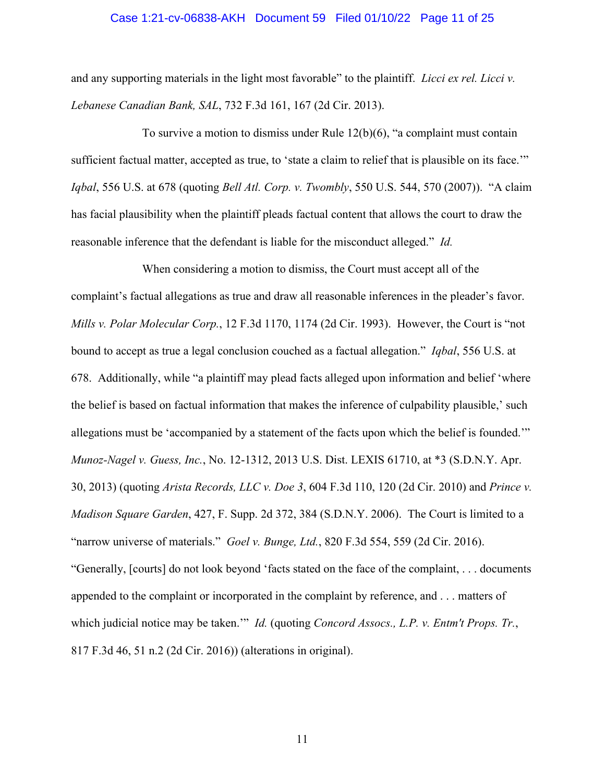#### Case 1:21-cv-06838-AKH Document 59 Filed 01/10/22 Page 11 of 25

and any supporting materials in the light most favorable" to the plaintiff. *Licci ex rel. Licci v. Lebanese Canadian Bank, SAL*, 732 F.3d 161, 167 (2d Cir. 2013).

To survive a motion to dismiss under Rule  $12(b)(6)$ , "a complaint must contain sufficient factual matter, accepted as true, to 'state a claim to relief that is plausible on its face." *Iqbal*, 556 U.S. at 678 (quoting *Bell Atl. Corp. v. Twombly*, 550 U.S. 544, 570 (2007)). "A claim has facial plausibility when the plaintiff pleads factual content that allows the court to draw the reasonable inference that the defendant is liable for the misconduct alleged." *Id.*

 When considering a motion to dismiss, the Court must accept all of the complaint's factual allegations as true and draw all reasonable inferences in the pleader's favor. *Mills v. Polar Molecular Corp.*, 12 F.3d 1170, 1174 (2d Cir. 1993). However, the Court is "not bound to accept as true a legal conclusion couched as a factual allegation." *Iqbal*, 556 U.S. at 678. Additionally, while "a plaintiff may plead facts alleged upon information and belief 'where the belief is based on factual information that makes the inference of culpability plausible,' such allegations must be 'accompanied by a statement of the facts upon which the belief is founded.'" *Munoz-Nagel v. Guess, Inc.*, No. 12-1312, 2013 U.S. Dist. LEXIS 61710, at \*3 (S.D.N.Y. Apr. 30, 2013) (quoting *Arista Records, LLC v. Doe 3*, 604 F.3d 110, 120 (2d Cir. 2010) and *Prince v. Madison Square Garden*, 427, F. Supp. 2d 372, 384 (S.D.N.Y. 2006). The Court is limited to a "narrow universe of materials." *Goel v. Bunge, Ltd.*, 820 F.3d 554, 559 (2d Cir. 2016). "Generally, [courts] do not look beyond 'facts stated on the face of the complaint, . . . documents appended to the complaint or incorporated in the complaint by reference, and . . . matters of which judicial notice may be taken.'" *Id.* (quoting *Concord Assocs., L.P. v. Entm't Props. Tr.*, 817 F.3d 46, 51 n.2 (2d Cir. 2016)) (alterations in original).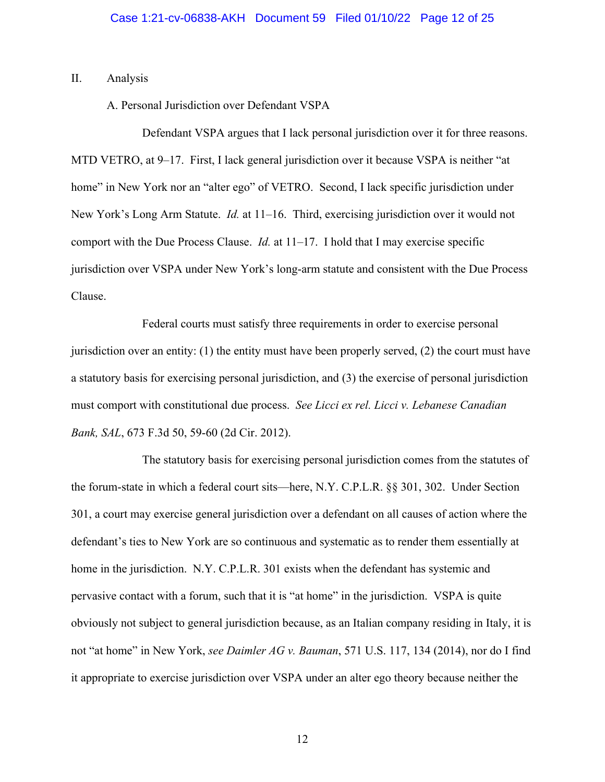II. Analysis

A. Personal Jurisdiction over Defendant VSPA

Defendant VSPA argues that I lack personal jurisdiction over it for three reasons. MTD VETRO, at 9–17. First, I lack general jurisdiction over it because VSPA is neither "at home" in New York nor an "alter ego" of VETRO. Second, I lack specific jurisdiction under New York's Long Arm Statute. *Id.* at 11–16. Third, exercising jurisdiction over it would not comport with the Due Process Clause. *Id.* at 11–17. I hold that I may exercise specific jurisdiction over VSPA under New York's long-arm statute and consistent with the Due Process Clause.

Federal courts must satisfy three requirements in order to exercise personal jurisdiction over an entity: (1) the entity must have been properly served, (2) the court must have a statutory basis for exercising personal jurisdiction, and (3) the exercise of personal jurisdiction must comport with constitutional due process. *See Licci ex rel. Licci v. Lebanese Canadian Bank, SAL*, 673 F.3d 50, 59-60 (2d Cir. 2012).

The statutory basis for exercising personal jurisdiction comes from the statutes of the forum-state in which a federal court sits—here, N.Y. C.P.L.R. §§ 301, 302. Under Section 301, a court may exercise general jurisdiction over a defendant on all causes of action where the defendant's ties to New York are so continuous and systematic as to render them essentially at home in the jurisdiction. N.Y. C.P.L.R. 301 exists when the defendant has systemic and pervasive contact with a forum, such that it is "at home" in the jurisdiction. VSPA is quite obviously not subject to general jurisdiction because, as an Italian company residing in Italy, it is not "at home" in New York, *see Daimler AG v. Bauman*, 571 U.S. 117, 134 (2014), nor do I find it appropriate to exercise jurisdiction over VSPA under an alter ego theory because neither the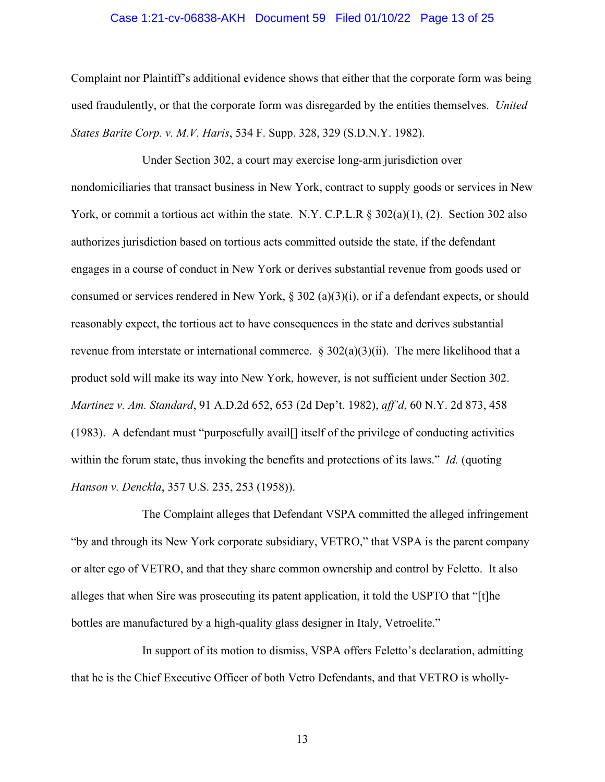#### Case 1:21-cv-06838-AKH Document 59 Filed 01/10/22 Page 13 of 25

Complaint nor Plaintiff's additional evidence shows that either that the corporate form was being used fraudulently, or that the corporate form was disregarded by the entities themselves. *United States Barite Corp. v. M.V. Haris*, 534 F. Supp. 328, 329 (S.D.N.Y. 1982).

Under Section 302, a court may exercise long-arm jurisdiction over nondomiciliaries that transact business in New York, contract to supply goods or services in New York, or commit a tortious act within the state. N.Y. C.P.L.R § 302(a)(1), (2). Section 302 also authorizes jurisdiction based on tortious acts committed outside the state, if the defendant engages in a course of conduct in New York or derives substantial revenue from goods used or consumed or services rendered in New York, § 302 (a)(3)(i), or if a defendant expects, or should reasonably expect, the tortious act to have consequences in the state and derives substantial revenue from interstate or international commerce.  $\S 302(a)(3)(ii)$ . The mere likelihood that a product sold will make its way into New York, however, is not sufficient under Section 302. *Martinez v. Am. Standard*, 91 A.D.2d 652, 653 (2d Dep't. 1982), *aff'd*, 60 N.Y. 2d 873, 458 (1983). A defendant must "purposefully avail[] itself of the privilege of conducting activities within the forum state, thus invoking the benefits and protections of its laws." *Id.* (quoting *Hanson v. Denckla*, 357 U.S. 235, 253 (1958)).

The Complaint alleges that Defendant VSPA committed the alleged infringement "by and through its New York corporate subsidiary, VETRO," that VSPA is the parent company or alter ego of VETRO, and that they share common ownership and control by Feletto. It also alleges that when Sire was prosecuting its patent application, it told the USPTO that "[t]he bottles are manufactured by a high-quality glass designer in Italy, Vetroelite."

In support of its motion to dismiss, VSPA offers Feletto's declaration, admitting that he is the Chief Executive Officer of both Vetro Defendants, and that VETRO is wholly-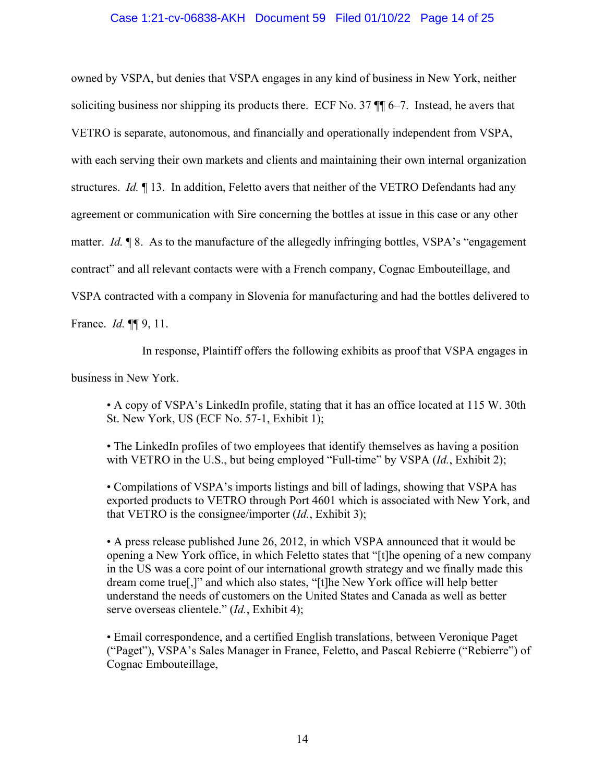# Case 1:21-cv-06838-AKH Document 59 Filed 01/10/22 Page 14 of 25

owned by VSPA, but denies that VSPA engages in any kind of business in New York, neither soliciting business nor shipping its products there. ECF No. 37  $\P$  6–7. Instead, he avers that VETRO is separate, autonomous, and financially and operationally independent from VSPA, with each serving their own markets and clients and maintaining their own internal organization structures. *Id.* ¶ 13. In addition, Feletto avers that neither of the VETRO Defendants had any agreement or communication with Sire concerning the bottles at issue in this case or any other matter. *Id.* **[8.** As to the manufacture of the allegedly infringing bottles, VSPA's "engagement" contract" and all relevant contacts were with a French company, Cognac Embouteillage, and VSPA contracted with a company in Slovenia for manufacturing and had the bottles delivered to France. *Id.* ¶¶ 9, 11.

In response, Plaintiff offers the following exhibits as proof that VSPA engages in

business in New York.

• A copy of VSPA's LinkedIn profile, stating that it has an office located at 115 W. 30th St. New York, US (ECF No. 57-1, Exhibit 1);

• The LinkedIn profiles of two employees that identify themselves as having a position with VETRO in the U.S., but being employed "Full-time" by VSPA (*Id.*, Exhibit 2);

• Compilations of VSPA's imports listings and bill of ladings, showing that VSPA has exported products to VETRO through Port 4601 which is associated with New York, and that VETRO is the consignee/importer (*Id.*, Exhibit 3);

• A press release published June 26, 2012, in which VSPA announced that it would be opening a New York office, in which Feletto states that "[t]he opening of a new company in the US was a core point of our international growth strategy and we finally made this dream come true[,]" and which also states, "[t]he New York office will help better understand the needs of customers on the United States and Canada as well as better serve overseas clientele." (*Id.*, Exhibit 4);

• Email correspondence, and a certified English translations, between Veronique Paget ("Paget"), VSPA's Sales Manager in France, Feletto, and Pascal Rebierre ("Rebierre") of Cognac Embouteillage,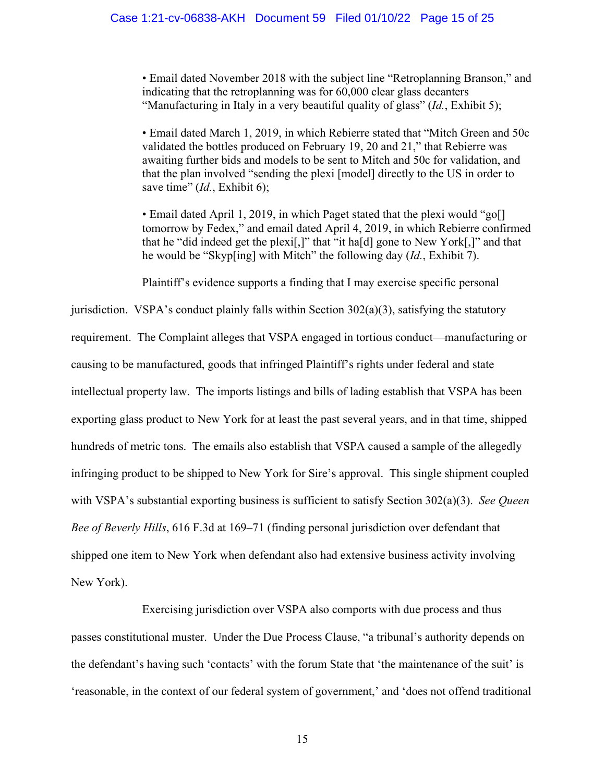• Email dated November 2018 with the subject line "Retroplanning Branson," and indicating that the retroplanning was for 60,000 clear glass decanters "Manufacturing in Italy in a very beautiful quality of glass" (*Id.*, Exhibit 5);

• Email dated March 1, 2019, in which Rebierre stated that "Mitch Green and 50c validated the bottles produced on February 19, 20 and 21," that Rebierre was awaiting further bids and models to be sent to Mitch and 50c for validation, and that the plan involved "sending the plexi [model] directly to the US in order to save time" (*Id.*, Exhibit 6);

• Email dated April 1, 2019, in which Paget stated that the plexi would "go[] tomorrow by Fedex," and email dated April 4, 2019, in which Rebierre confirmed that he "did indeed get the plexi[,]" that "it ha[d] gone to New York[,]" and that he would be "Skyp[ing] with Mitch" the following day (*Id.*, Exhibit 7).

Plaintiff's evidence supports a finding that I may exercise specific personal

jurisdiction. VSPA's conduct plainly falls within Section  $302(a)(3)$ , satisfying the statutory requirement. The Complaint alleges that VSPA engaged in tortious conduct—manufacturing or causing to be manufactured, goods that infringed Plaintiff's rights under federal and state intellectual property law. The imports listings and bills of lading establish that VSPA has been exporting glass product to New York for at least the past several years, and in that time, shipped hundreds of metric tons. The emails also establish that VSPA caused a sample of the allegedly infringing product to be shipped to New York for Sire's approval. This single shipment coupled with VSPA's substantial exporting business is sufficient to satisfy Section 302(a)(3). *See Queen Bee of Beverly Hills*, 616 F.3d at 169–71 (finding personal jurisdiction over defendant that shipped one item to New York when defendant also had extensive business activity involving New York).

Exercising jurisdiction over VSPA also comports with due process and thus passes constitutional muster. Under the Due Process Clause, "a tribunal's authority depends on the defendant's having such 'contacts' with the forum State that 'the maintenance of the suit' is 'reasonable, in the context of our federal system of government,' and 'does not offend traditional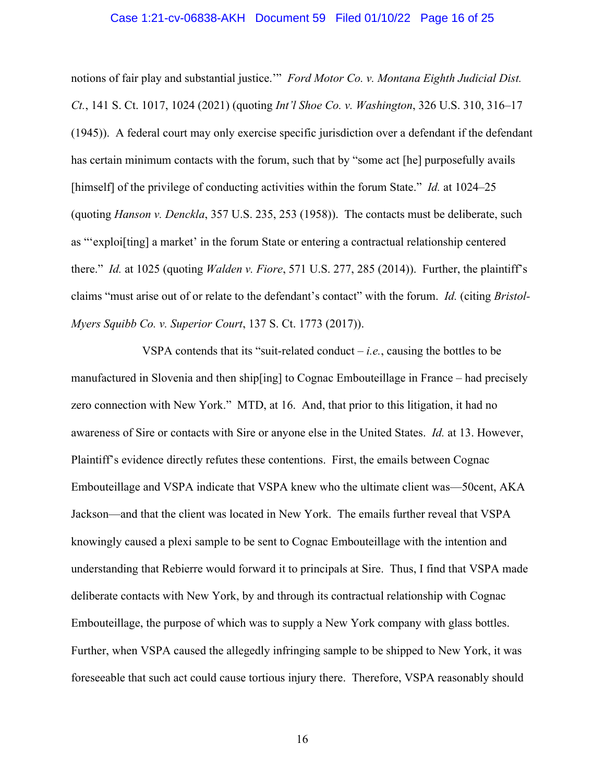#### Case 1:21-cv-06838-AKH Document 59 Filed 01/10/22 Page 16 of 25

notions of fair play and substantial justice.'" *Ford Motor Co. v. Montana Eighth Judicial Dist. Ct.*, 141 S. Ct. 1017, 1024 (2021) (quoting *Int'l Shoe Co. v. Washington*, 326 U.S. 310, 316–17 (1945)). A federal court may only exercise specific jurisdiction over a defendant if the defendant has certain minimum contacts with the forum, such that by "some act [he] purposefully avails [himself] of the privilege of conducting activities within the forum State." *Id.* at 1024–25 (quoting *Hanson v. Denckla*, 357 U.S. 235, 253 (1958)). The contacts must be deliberate, such as "'exploi[ting] a market' in the forum State or entering a contractual relationship centered there." *Id.* at 1025 (quoting *Walden v. Fiore*, 571 U.S. 277, 285 (2014)). Further, the plaintiff's claims "must arise out of or relate to the defendant's contact" with the forum. *Id.* (citing *Bristol-Myers Squibb Co. v. Superior Court*, 137 S. Ct. 1773 (2017)).

VSPA contends that its "suit-related conduct  $-i.e.,$  causing the bottles to be manufactured in Slovenia and then ship[ing] to Cognac Embouteillage in France – had precisely zero connection with New York." MTD, at 16. And, that prior to this litigation, it had no awareness of Sire or contacts with Sire or anyone else in the United States. *Id.* at 13. However, Plaintiff's evidence directly refutes these contentions. First, the emails between Cognac Embouteillage and VSPA indicate that VSPA knew who the ultimate client was—50cent, AKA Jackson—and that the client was located in New York. The emails further reveal that VSPA knowingly caused a plexi sample to be sent to Cognac Embouteillage with the intention and understanding that Rebierre would forward it to principals at Sire. Thus, I find that VSPA made deliberate contacts with New York, by and through its contractual relationship with Cognac Embouteillage, the purpose of which was to supply a New York company with glass bottles. Further, when VSPA caused the allegedly infringing sample to be shipped to New York, it was foreseeable that such act could cause tortious injury there. Therefore, VSPA reasonably should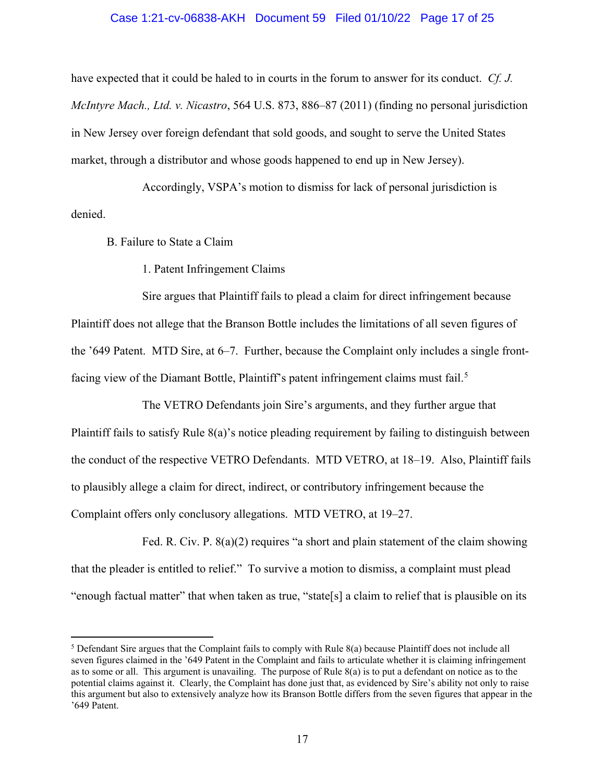#### Case 1:21-cv-06838-AKH Document 59 Filed 01/10/22 Page 17 of 25

have expected that it could be haled to in courts in the forum to answer for its conduct. *Cf. J. McIntyre Mach., Ltd. v. Nicastro*, 564 U.S. 873, 886–87 (2011) (finding no personal jurisdiction in New Jersey over foreign defendant that sold goods, and sought to serve the United States market, through a distributor and whose goods happened to end up in New Jersey).

 Accordingly, VSPA's motion to dismiss for lack of personal jurisdiction is denied.

B. Failure to State a Claim

1. Patent Infringement Claims

 Sire argues that Plaintiff fails to plead a claim for direct infringement because Plaintiff does not allege that the Branson Bottle includes the limitations of all seven figures of the '649 Patent. MTD Sire, at 6–7. Further, because the Complaint only includes a single front-facing view of the Diamant Bottle, Plaintiff's patent infringement claims must fail.<sup>[5](#page-16-0)</sup>

The VETRO Defendants join Sire's arguments, and they further argue that Plaintiff fails to satisfy Rule 8(a)'s notice pleading requirement by failing to distinguish between the conduct of the respective VETRO Defendants. MTD VETRO, at 18–19. Also, Plaintiff fails to plausibly allege a claim for direct, indirect, or contributory infringement because the Complaint offers only conclusory allegations. MTD VETRO, at 19–27.

Fed. R. Civ. P. 8(a)(2) requires "a short and plain statement of the claim showing that the pleader is entitled to relief." To survive a motion to dismiss, a complaint must plead "enough factual matter" that when taken as true, "state[s] a claim to relief that is plausible on its

<span id="page-16-0"></span> $5$  Defendant Sire argues that the Complaint fails to comply with Rule  $8(a)$  because Plaintiff does not include all seven figures claimed in the '649 Patent in the Complaint and fails to articulate whether it is claiming infringement as to some or all. This argument is unavailing. The purpose of Rule 8(a) is to put a defendant on notice as to the potential claims against it. Clearly, the Complaint has done just that, as evidenced by Sire's ability not only to raise this argument but also to extensively analyze how its Branson Bottle differs from the seven figures that appear in the '649 Patent.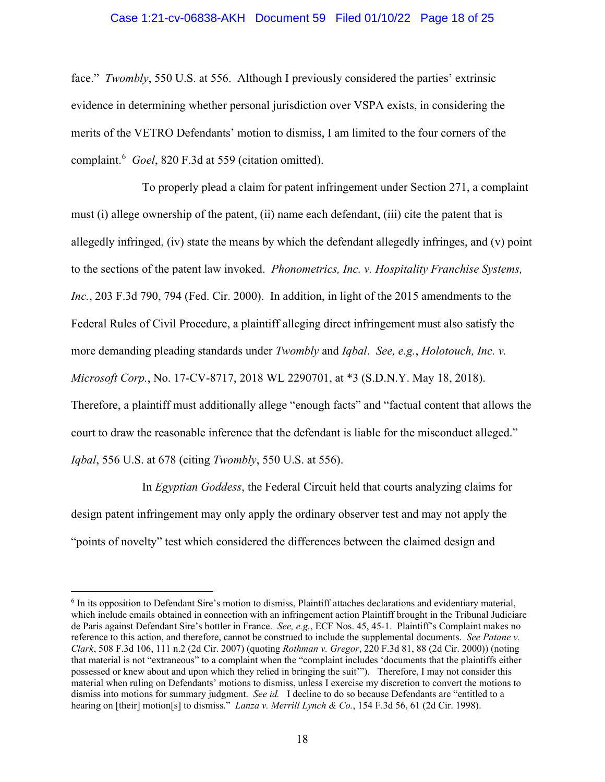## Case 1:21-cv-06838-AKH Document 59 Filed 01/10/22 Page 18 of 25

face." *Twombly*, 550 U.S. at 556. Although I previously considered the parties' extrinsic evidence in determining whether personal jurisdiction over VSPA exists, in considering the merits of the VETRO Defendants' motion to dismiss, I am limited to the four corners of the complaint.[6](#page-17-0) *Goel*, 820 F.3d at 559 (citation omitted).

To properly plead a claim for patent infringement under Section 271, a complaint must (i) allege ownership of the patent, (ii) name each defendant, (iii) cite the patent that is allegedly infringed, (iv) state the means by which the defendant allegedly infringes, and (v) point to the sections of the patent law invoked. *Phonometrics, Inc. v. Hospitality Franchise Systems, Inc.*, 203 F.3d 790, 794 (Fed. Cir. 2000). In addition, in light of the 2015 amendments to the Federal Rules of Civil Procedure, a plaintiff alleging direct infringement must also satisfy the more demanding pleading standards under *Twombly* and *Iqbal*. *See, e.g.*, *Holotouch, Inc. v. Microsoft Corp.*, No. 17-CV-8717, 2018 WL 2290701, at \*3 (S.D.N.Y. May 18, 2018). Therefore, a plaintiff must additionally allege "enough facts" and "factual content that allows the court to draw the reasonable inference that the defendant is liable for the misconduct alleged." *Iqbal*, 556 U.S. at 678 (citing *Twombly*, 550 U.S. at 556).

In *Egyptian Goddess*, the Federal Circuit held that courts analyzing claims for design patent infringement may only apply the ordinary observer test and may not apply the "points of novelty" test which considered the differences between the claimed design and

<span id="page-17-0"></span><sup>&</sup>lt;sup>6</sup> In its opposition to Defendant Sire's motion to dismiss, Plaintiff attaches declarations and evidentiary material, which include emails obtained in connection with an infringement action Plaintiff brought in the Tribunal Judiciare de Paris against Defendant Sire's bottler in France. *See, e.g.*, ECF Nos. 45, 45-1. Plaintiff's Complaint makes no reference to this action, and therefore, cannot be construed to include the supplemental documents. *See Patane v. Clark*, 508 F.3d 106, 111 n.2 (2d Cir. 2007) (quoting *Rothman v. Gregor*, 220 F.3d 81, 88 (2d Cir. 2000)) (noting that material is not "extraneous" to a complaint when the "complaint includes 'documents that the plaintiffs either possessed or knew about and upon which they relied in bringing the suit'"). Therefore, I may not consider this material when ruling on Defendants' motions to dismiss, unless I exercise my discretion to convert the motions to dismiss into motions for summary judgment. *See id.* I decline to do so because Defendants are "entitled to a hearing on [their] motion[s] to dismiss." *Lanza v. Merrill Lynch & Co.*, 154 F.3d 56, 61 (2d Cir. 1998).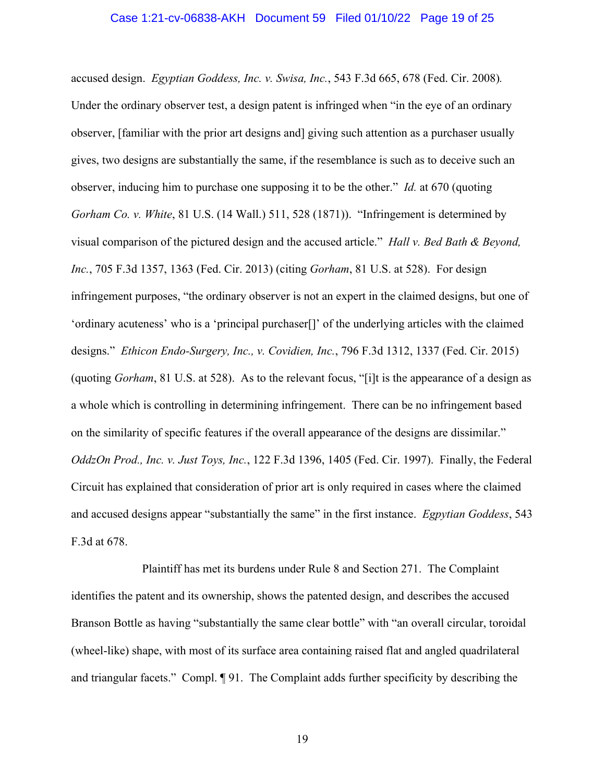#### Case 1:21-cv-06838-AKH Document 59 Filed 01/10/22 Page 19 of 25

accused design. *Egyptian Goddess, Inc. v. Swisa, Inc.*, 543 F.3d 665, 678 (Fed. Cir. 2008)*.* Under the ordinary observer test, a design patent is infringed when "in the eye of an ordinary observer, [familiar with the prior art designs and] giving such attention as a purchaser usually gives, two designs are substantially the same, if the resemblance is such as to deceive such an observer, inducing him to purchase one supposing it to be the other." *Id.* at 670 (quoting *Gorham Co. v. White*, 81 U.S. (14 Wall.) 511, 528 (1871)). "Infringement is determined by visual comparison of the pictured design and the accused article." *Hall v. Bed Bath & Beyond, Inc.*, 705 F.3d 1357, 1363 (Fed. Cir. 2013) (citing *Gorham*, 81 U.S. at 528). For design infringement purposes, "the ordinary observer is not an expert in the claimed designs, but one of 'ordinary acuteness' who is a 'principal purchaser[]' of the underlying articles with the claimed designs." *Ethicon Endo-Surgery, Inc., v. Covidien, Inc.*, 796 F.3d 1312, 1337 (Fed. Cir. 2015) (quoting *Gorham*, 81 U.S. at 528). As to the relevant focus, "[i]t is the appearance of a design as a whole which is controlling in determining infringement. There can be no infringement based on the similarity of specific features if the overall appearance of the designs are dissimilar." *OddzOn Prod., Inc. v. Just Toys, Inc.*, 122 F.3d 1396, 1405 (Fed. Cir. 1997). Finally, the Federal Circuit has explained that consideration of prior art is only required in cases where the claimed and accused designs appear "substantially the same" in the first instance. *Egpytian Goddess*, 543 F.3d at 678.

Plaintiff has met its burdens under Rule 8 and Section 271. The Complaint identifies the patent and its ownership, shows the patented design, and describes the accused Branson Bottle as having "substantially the same clear bottle" with "an overall circular, toroidal (wheel-like) shape, with most of its surface area containing raised flat and angled quadrilateral and triangular facets." Compl. ¶ 91. The Complaint adds further specificity by describing the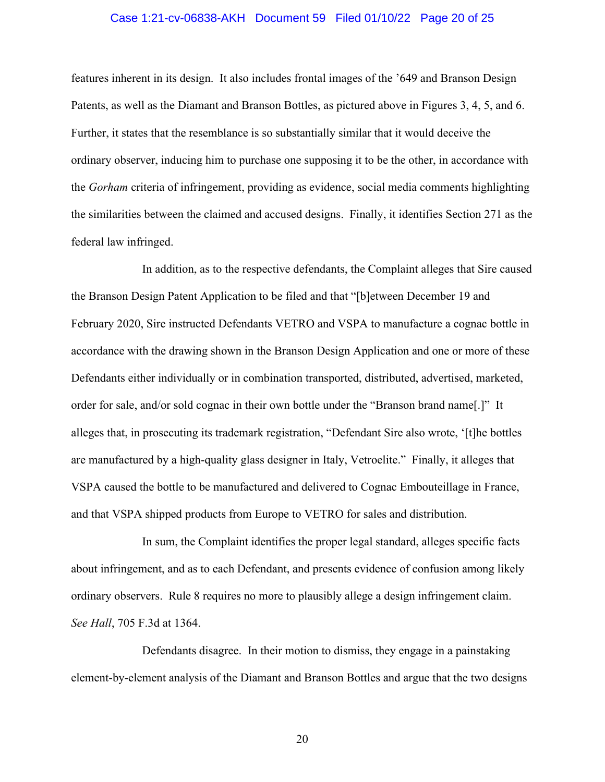## Case 1:21-cv-06838-AKH Document 59 Filed 01/10/22 Page 20 of 25

features inherent in its design. It also includes frontal images of the '649 and Branson Design Patents, as well as the Diamant and Branson Bottles, as pictured above in Figures 3, 4, 5, and 6. Further, it states that the resemblance is so substantially similar that it would deceive the ordinary observer, inducing him to purchase one supposing it to be the other, in accordance with the *Gorham* criteria of infringement, providing as evidence, social media comments highlighting the similarities between the claimed and accused designs. Finally, it identifies Section 271 as the federal law infringed.

In addition, as to the respective defendants, the Complaint alleges that Sire caused the Branson Design Patent Application to be filed and that "[b]etween December 19 and February 2020, Sire instructed Defendants VETRO and VSPA to manufacture a cognac bottle in accordance with the drawing shown in the Branson Design Application and one or more of these Defendants either individually or in combination transported, distributed, advertised, marketed, order for sale, and/or sold cognac in their own bottle under the "Branson brand name[.]" It alleges that, in prosecuting its trademark registration, "Defendant Sire also wrote, '[t]he bottles are manufactured by a high-quality glass designer in Italy, Vetroelite." Finally, it alleges that VSPA caused the bottle to be manufactured and delivered to Cognac Embouteillage in France, and that VSPA shipped products from Europe to VETRO for sales and distribution.

In sum, the Complaint identifies the proper legal standard, alleges specific facts about infringement, and as to each Defendant, and presents evidence of confusion among likely ordinary observers. Rule 8 requires no more to plausibly allege a design infringement claim. *See Hall*, 705 F.3d at 1364.

Defendants disagree. In their motion to dismiss, they engage in a painstaking element-by-element analysis of the Diamant and Branson Bottles and argue that the two designs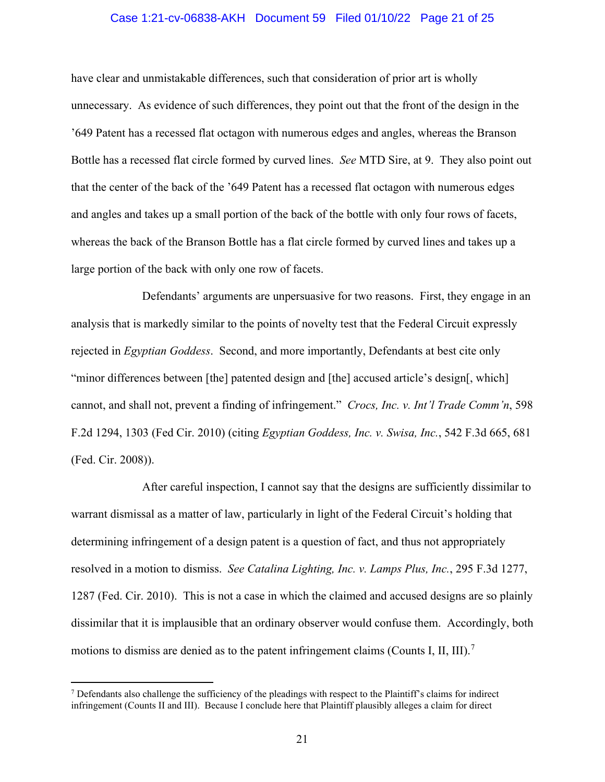## Case 1:21-cv-06838-AKH Document 59 Filed 01/10/22 Page 21 of 25

have clear and unmistakable differences, such that consideration of prior art is wholly unnecessary. As evidence of such differences, they point out that the front of the design in the '649 Patent has a recessed flat octagon with numerous edges and angles, whereas the Branson Bottle has a recessed flat circle formed by curved lines. *See* MTD Sire, at 9. They also point out that the center of the back of the '649 Patent has a recessed flat octagon with numerous edges and angles and takes up a small portion of the back of the bottle with only four rows of facets, whereas the back of the Branson Bottle has a flat circle formed by curved lines and takes up a large portion of the back with only one row of facets.

Defendants' arguments are unpersuasive for two reasons. First, they engage in an analysis that is markedly similar to the points of novelty test that the Federal Circuit expressly rejected in *Egyptian Goddess*. Second, and more importantly, Defendants at best cite only "minor differences between [the] patented design and [the] accused article's design[, which] cannot, and shall not, prevent a finding of infringement." *Crocs, Inc. v. Int'l Trade Comm'n*, 598 F.2d 1294, 1303 (Fed Cir. 2010) (citing *Egyptian Goddess, Inc. v. Swisa, Inc.*, 542 F.3d 665, 681 (Fed. Cir. 2008)).

After careful inspection, I cannot say that the designs are sufficiently dissimilar to warrant dismissal as a matter of law, particularly in light of the Federal Circuit's holding that determining infringement of a design patent is a question of fact, and thus not appropriately resolved in a motion to dismiss. *See Catalina Lighting, Inc. v. Lamps Plus, Inc.*, 295 F.3d 1277, 1287 (Fed. Cir. 2010). This is not a case in which the claimed and accused designs are so plainly dissimilar that it is implausible that an ordinary observer would confuse them. Accordingly, both motions to dismiss are denied as to the patent infringement claims (Counts I, II, III).<sup>[7](#page-20-0)</sup>

<span id="page-20-0"></span> $7$  Defendants also challenge the sufficiency of the pleadings with respect to the Plaintiff's claims for indirect infringement (Counts II and III). Because I conclude here that Plaintiff plausibly alleges a claim for direct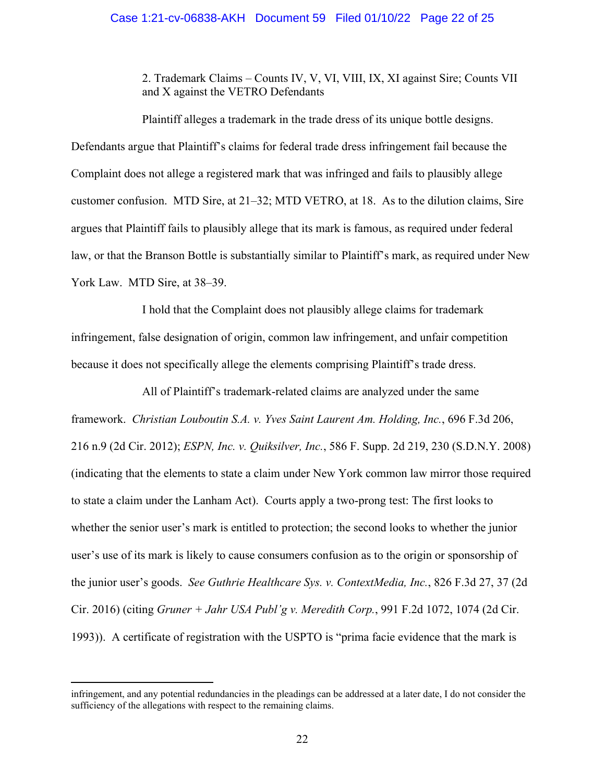## Case 1:21-cv-06838-AKH Document 59 Filed 01/10/22 Page 22 of 25

2. Trademark Claims – Counts IV, V, VI, VIII, IX, XI against Sire; Counts VII and X against the VETRO Defendants

 Plaintiff alleges a trademark in the trade dress of its unique bottle designs. Defendants argue that Plaintiff's claims for federal trade dress infringement fail because the Complaint does not allege a registered mark that was infringed and fails to plausibly allege customer confusion. MTD Sire, at 21–32; MTD VETRO, at 18. As to the dilution claims, Sire argues that Plaintiff fails to plausibly allege that its mark is famous, as required under federal law, or that the Branson Bottle is substantially similar to Plaintiff's mark, as required under New York Law. MTD Sire, at 38–39.

I hold that the Complaint does not plausibly allege claims for trademark infringement, false designation of origin, common law infringement, and unfair competition because it does not specifically allege the elements comprising Plaintiff's trade dress.

All of Plaintiff's trademark-related claims are analyzed under the same framework. *Christian Louboutin S.A. v. Yves Saint Laurent Am. Holding, Inc.*, 696 F.3d 206, 216 n.9 (2d Cir. 2012); *ESPN, Inc. v. Quiksilver, Inc.*, 586 F. Supp. 2d 219, 230 (S.D.N.Y. 2008) (indicating that the elements to state a claim under New York common law mirror those required to state a claim under the Lanham Act). Courts apply a two-prong test: The first looks to whether the senior user's mark is entitled to protection; the second looks to whether the junior user's use of its mark is likely to cause consumers confusion as to the origin or sponsorship of the junior user's goods. *See Guthrie Healthcare Sys. v. ContextMedia, Inc.*, 826 F.3d 27, 37 (2d Cir. 2016) (citing *Gruner + Jahr USA Publ'g v. Meredith Corp.*, 991 F.2d 1072, 1074 (2d Cir. 1993)). A certificate of registration with the USPTO is "prima facie evidence that the mark is

infringement, and any potential redundancies in the pleadings can be addressed at a later date, I do not consider the sufficiency of the allegations with respect to the remaining claims.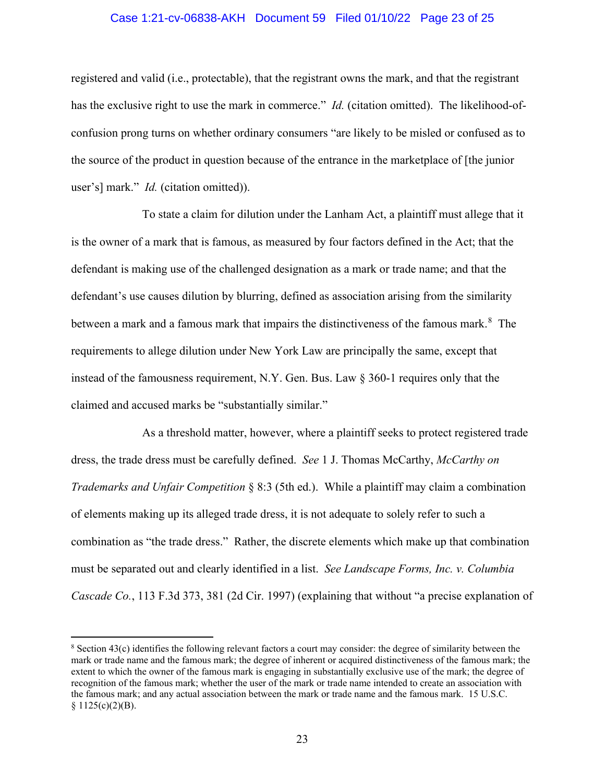## Case 1:21-cv-06838-AKH Document 59 Filed 01/10/22 Page 23 of 25

registered and valid (i.e., protectable), that the registrant owns the mark, and that the registrant has the exclusive right to use the mark in commerce." *Id.* (citation omitted). The likelihood-ofconfusion prong turns on whether ordinary consumers "are likely to be misled or confused as to the source of the product in question because of the entrance in the marketplace of [the junior user's] mark." *Id.* (citation omitted)).

To state a claim for dilution under the Lanham Act, a plaintiff must allege that it is the owner of a mark that is famous, as measured by four factors defined in the Act; that the defendant is making use of the challenged designation as a mark or trade name; and that the defendant's use causes dilution by blurring, defined as association arising from the similarity between a mark and a famous mark that impairs the distinctiveness of the famous mark.<sup>[8](#page-22-0)</sup> The requirements to allege dilution under New York Law are principally the same, except that instead of the famousness requirement, N.Y. Gen. Bus. Law § 360-1 requires only that the claimed and accused marks be "substantially similar."

As a threshold matter, however, where a plaintiff seeks to protect registered trade dress, the trade dress must be carefully defined. *See* 1 J. Thomas McCarthy, *McCarthy on Trademarks and Unfair Competition* § 8:3 (5th ed.). While a plaintiff may claim a combination of elements making up its alleged trade dress, it is not adequate to solely refer to such a combination as "the trade dress." Rather, the discrete elements which make up that combination must be separated out and clearly identified in a list. *See Landscape Forms, Inc. v. Columbia Cascade Co.*, 113 F.3d 373, 381 (2d Cir. 1997) (explaining that without "a precise explanation of

<span id="page-22-0"></span><sup>8</sup> Section 43(c) identifies the following relevant factors a court may consider: the degree of similarity between the mark or trade name and the famous mark; the degree of inherent or acquired distinctiveness of the famous mark; the extent to which the owner of the famous mark is engaging in substantially exclusive use of the mark; the degree of recognition of the famous mark; whether the user of the mark or trade name intended to create an association with the famous mark; and any actual association between the mark or trade name and the famous mark. 15 U.S.C.  $§ 1125(c)(2)(B).$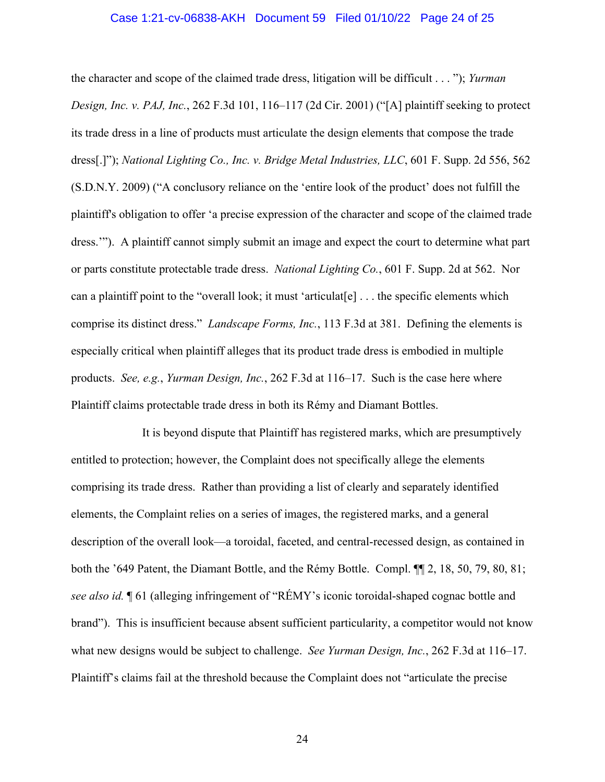#### Case 1:21-cv-06838-AKH Document 59 Filed 01/10/22 Page 24 of 25

the character and scope of the claimed trade dress, litigation will be difficult . . . "); *Yurman Design, Inc. v. PAJ, Inc.*, 262 F.3d 101, 116–117 (2d Cir. 2001) ("[A] plaintiff seeking to protect its trade dress in a line of products must articulate the design elements that compose the trade dress[.]"); *National Lighting Co., Inc. v. Bridge Metal Industries, LLC*, 601 F. Supp. 2d 556, 562 (S.D.N.Y. 2009) ("A conclusory reliance on the 'entire look of the product' does not fulfill the plaintiff's obligation to offer 'a precise expression of the character and scope of the claimed trade dress.'"). A plaintiff cannot simply submit an image and expect the court to determine what part or parts constitute protectable trade dress. *National Lighting Co.*, 601 F. Supp. 2d at 562. Nor can a plaintiff point to the "overall look; it must 'articulat[e] . . . the specific elements which comprise its distinct dress." *Landscape Forms, Inc.*, 113 F.3d at 381. Defining the elements is especially critical when plaintiff alleges that its product trade dress is embodied in multiple products. *See, e.g.*, *Yurman Design, Inc.*, 262 F.3d at 116–17. Such is the case here where Plaintiff claims protectable trade dress in both its Rémy and Diamant Bottles.

It is beyond dispute that Plaintiff has registered marks, which are presumptively entitled to protection; however, the Complaint does not specifically allege the elements comprising its trade dress. Rather than providing a list of clearly and separately identified elements, the Complaint relies on a series of images, the registered marks, and a general description of the overall look—a toroidal, faceted, and central-recessed design, as contained in both the '649 Patent, the Diamant Bottle, and the Rémy Bottle. Compl. ¶¶ 2, 18, 50, 79, 80, 81; *see also id.* ¶ 61 (alleging infringement of "RÉMY's iconic toroidal-shaped cognac bottle and brand"). This is insufficient because absent sufficient particularity, a competitor would not know what new designs would be subject to challenge. *See Yurman Design, Inc.*, 262 F.3d at 116–17. Plaintiff's claims fail at the threshold because the Complaint does not "articulate the precise